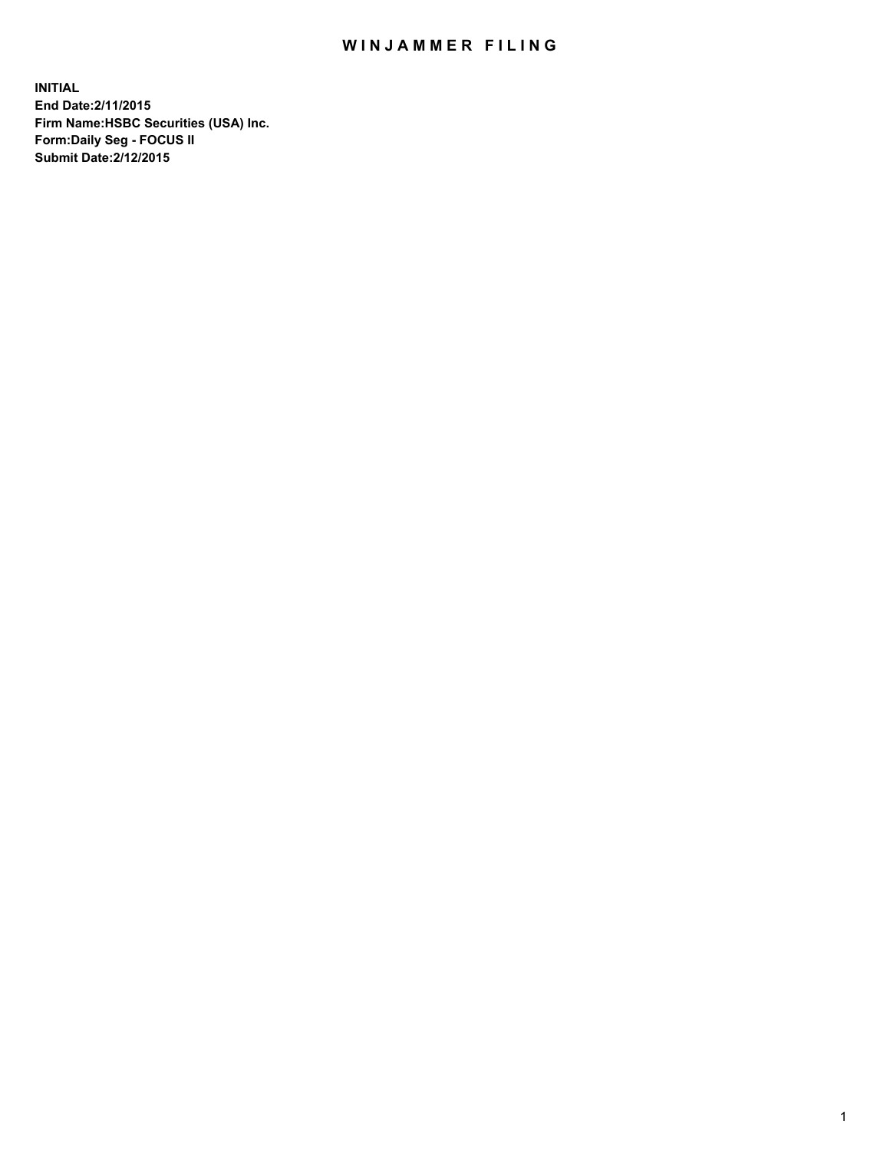## WIN JAMMER FILING

**INITIAL End Date:2/11/2015 Firm Name:HSBC Securities (USA) Inc. Form:Daily Seg - FOCUS II Submit Date:2/12/2015**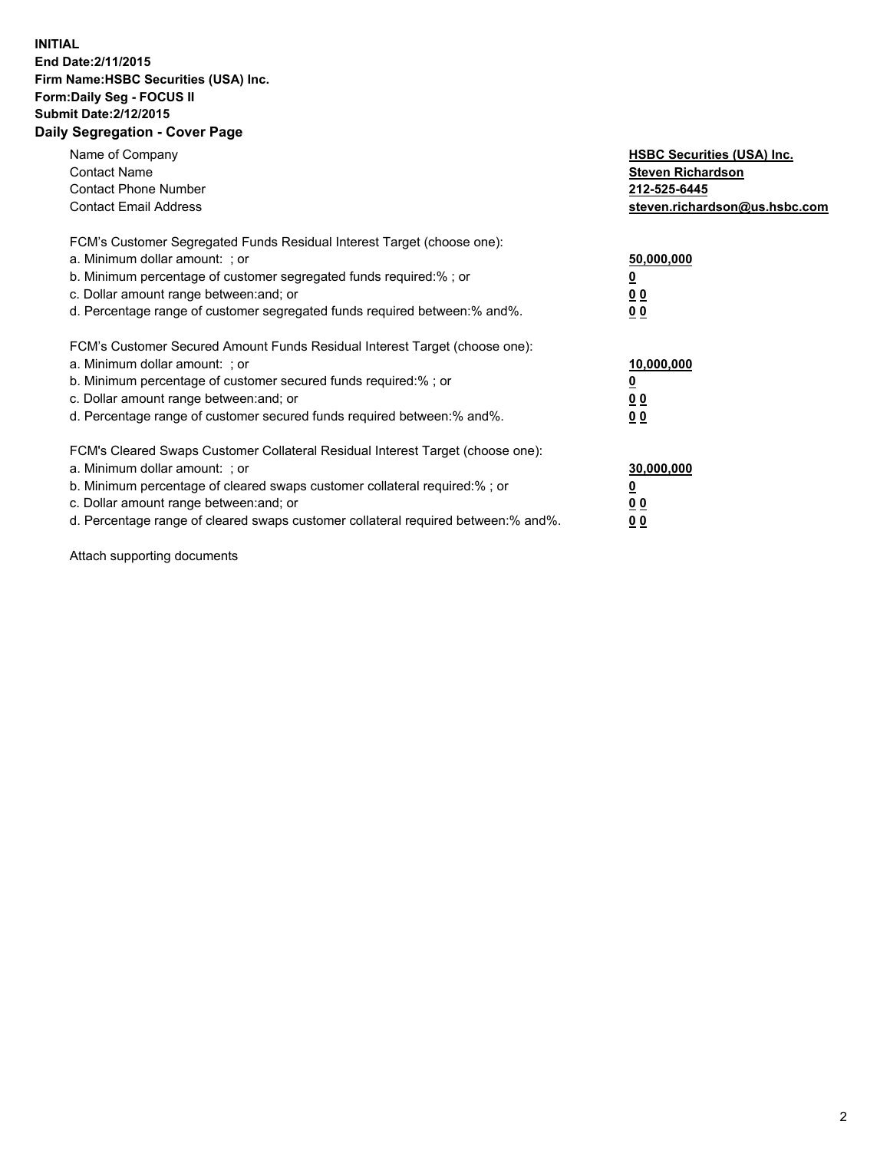## **INITIAL End Date:2/11/2015 Firm Name:HSBC Securities (USA) Inc. Form:Daily Seg - FOCUS II Submit Date:2/12/2015 Daily Segregation - Cover Page**

| Name of Company<br><b>Contact Name</b><br><b>Contact Phone Number</b><br><b>Contact Email Address</b>                                                                                                                                                                                                                          | <b>HSBC Securities (USA) Inc.</b><br><b>Steven Richardson</b><br>212-525-6445<br>steven.richardson@us.hsbc.com |
|--------------------------------------------------------------------------------------------------------------------------------------------------------------------------------------------------------------------------------------------------------------------------------------------------------------------------------|----------------------------------------------------------------------------------------------------------------|
| FCM's Customer Segregated Funds Residual Interest Target (choose one):<br>a. Minimum dollar amount: ; or<br>b. Minimum percentage of customer segregated funds required:%; or<br>c. Dollar amount range between: and; or<br>d. Percentage range of customer segregated funds required between: % and %.                        | 50,000,000<br>0 <sub>0</sub><br>0 <sub>0</sub>                                                                 |
| FCM's Customer Secured Amount Funds Residual Interest Target (choose one):<br>a. Minimum dollar amount: ; or<br>b. Minimum percentage of customer secured funds required:%; or<br>c. Dollar amount range between: and; or<br>d. Percentage range of customer secured funds required between:% and%.                            | 10,000,000<br><u>0</u><br>0 <sub>0</sub><br>0 <sub>0</sub>                                                     |
| FCM's Cleared Swaps Customer Collateral Residual Interest Target (choose one):<br>a. Minimum dollar amount: ; or<br>b. Minimum percentage of cleared swaps customer collateral required:% ; or<br>c. Dollar amount range between: and; or<br>d. Percentage range of cleared swaps customer collateral required between:% and%. | 30,000,000<br>00<br><u>00</u>                                                                                  |

Attach supporting documents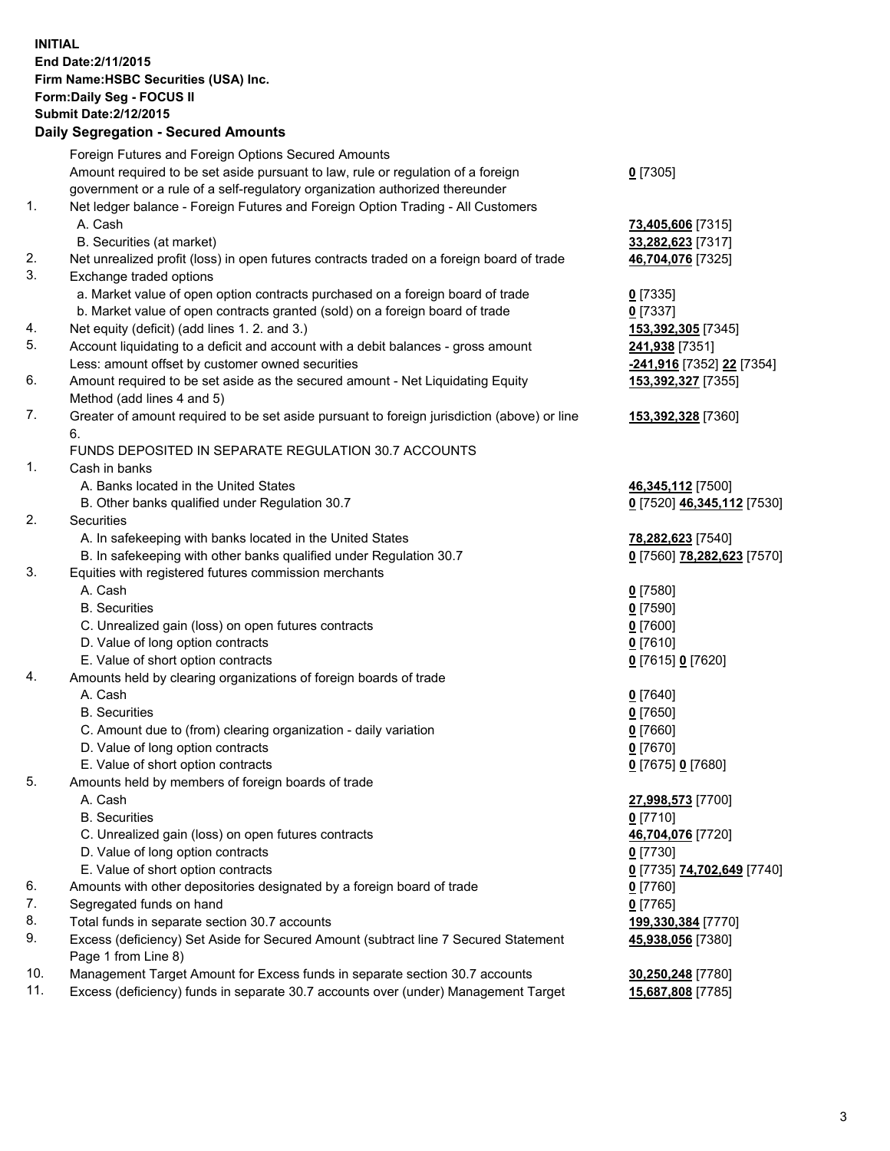**INITIAL End Date:2/11/2015 Firm Name:HSBC Securities (USA) Inc. Form:Daily Seg - FOCUS II Submit Date:2/12/2015 Daily Segregation - Secured Amounts**

Foreign Futures and Foreign Options Secured Amounts Amount required to be set aside pursuant to law, rule or regulation of a foreign government or a rule of a self-regulatory organization authorized thereunder **0** [7305] 1. Net ledger balance - Foreign Futures and Foreign Option Trading - All Customers A. Cash **73,405,606** [7315] B. Securities (at market) **33,282,623** [7317] 2. Net unrealized profit (loss) in open futures contracts traded on a foreign board of trade **46,704,076** [7325] 3. Exchange traded options a. Market value of open option contracts purchased on a foreign board of trade **0** [7335] b. Market value of open contracts granted (sold) on a foreign board of trade **0** [7337] 4. Net equity (deficit) (add lines 1. 2. and 3.) **153,392,305** [7345] 5. Account liquidating to a deficit and account with a debit balances - gross amount **241,938** [7351] Less: amount offset by customer owned securities **-241,916** [7352] **22** [7354] 6. Amount required to be set aside as the secured amount - Net Liquidating Equity Method (add lines 4 and 5) **153,392,327** [7355] 7. Greater of amount required to be set aside pursuant to foreign jurisdiction (above) or line 6. **153,392,328** [7360] FUNDS DEPOSITED IN SEPARATE REGULATION 30.7 ACCOUNTS 1. Cash in banks A. Banks located in the United States **46,345,112** [7500] B. Other banks qualified under Regulation 30.7 **0** [7520] **46,345,112** [7530] 2. Securities A. In safekeeping with banks located in the United States **78,282,623** [7540] B. In safekeeping with other banks qualified under Regulation 30.7 **0** [7560] **78,282,623** [7570] 3. Equities with registered futures commission merchants A. Cash **0** [7580] B. Securities **0** [7590] C. Unrealized gain (loss) on open futures contracts **0** [7600] D. Value of long option contracts **0** [7610] E. Value of short option contracts **0** [7615] **0** [7620] 4. Amounts held by clearing organizations of foreign boards of trade A. Cash **0** [7640] B. Securities **0** [7650] C. Amount due to (from) clearing organization - daily variation **0** [7660] D. Value of long option contracts **0** [7670] E. Value of short option contracts **0** [7675] **0** [7680] 5. Amounts held by members of foreign boards of trade A. Cash **27,998,573** [7700] B. Securities **0** [7710] C. Unrealized gain (loss) on open futures contracts **46,704,076** [7720] D. Value of long option contracts **0** [7730] E. Value of short option contracts **0** [7735] **74,702,649** [7740] 6. Amounts with other depositories designated by a foreign board of trade **0** [7760] 7. Segregated funds on hand **0** [7765] 8. Total funds in separate section 30.7 accounts **199,330,384** [7770] 9. Excess (deficiency) Set Aside for Secured Amount (subtract line 7 Secured Statement Page 1 from Line 8) **45,938,056** [7380] 10. Management Target Amount for Excess funds in separate section 30.7 accounts **30,250,248** [7780] 11. Excess (deficiency) funds in separate 30.7 accounts over (under) Management Target **15,687,808** [7785]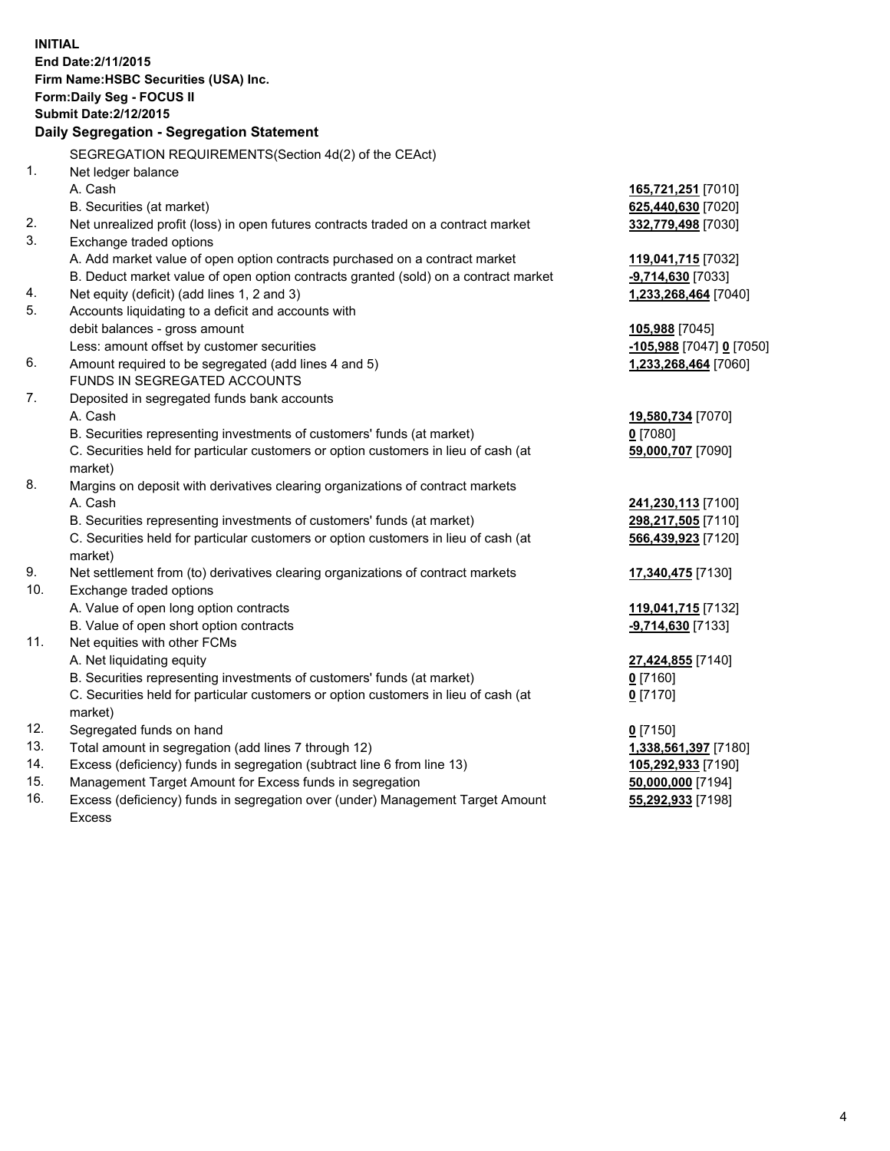|     | <b>INITIAL</b>                                                                                 |                                            |
|-----|------------------------------------------------------------------------------------------------|--------------------------------------------|
|     | End Date: 2/11/2015                                                                            |                                            |
|     | Firm Name: HSBC Securities (USA) Inc.                                                          |                                            |
|     | Form: Daily Seg - FOCUS II                                                                     |                                            |
|     | <b>Submit Date: 2/12/2015</b>                                                                  |                                            |
|     | Daily Segregation - Segregation Statement                                                      |                                            |
|     | SEGREGATION REQUIREMENTS(Section 4d(2) of the CEAct)                                           |                                            |
| 1.  | Net ledger balance                                                                             |                                            |
|     | A. Cash                                                                                        | 165,721,251 [7010]                         |
|     | B. Securities (at market)                                                                      | 625,440,630 [7020]                         |
| 2.  | Net unrealized profit (loss) in open futures contracts traded on a contract market             | 332,779,498 [7030]                         |
| 3.  | Exchange traded options                                                                        |                                            |
|     | A. Add market value of open option contracts purchased on a contract market                    | 119,041,715 [7032]                         |
|     | B. Deduct market value of open option contracts granted (sold) on a contract market            | -9,714,630 [7033]                          |
| 4.  | Net equity (deficit) (add lines 1, 2 and 3)                                                    | 1,233,268,464 [7040]                       |
| 5.  | Accounts liquidating to a deficit and accounts with                                            |                                            |
|     | debit balances - gross amount                                                                  | 105,988 [7045]                             |
|     | Less: amount offset by customer securities                                                     | -105,988 [7047] 0 [7050]                   |
| 6.  | Amount required to be segregated (add lines 4 and 5)                                           | 1,233,268,464 [7060]                       |
|     | FUNDS IN SEGREGATED ACCOUNTS                                                                   |                                            |
| 7.  | Deposited in segregated funds bank accounts                                                    |                                            |
|     | A. Cash                                                                                        | 19,580,734 [7070]                          |
|     | B. Securities representing investments of customers' funds (at market)                         | $0$ [7080]                                 |
|     | C. Securities held for particular customers or option customers in lieu of cash (at<br>market) | 59,000,707 [7090]                          |
| 8.  | Margins on deposit with derivatives clearing organizations of contract markets                 |                                            |
|     | A. Cash                                                                                        | 241,230,113 [7100]                         |
|     | B. Securities representing investments of customers' funds (at market)                         | 298,217,505 [7110]                         |
|     | C. Securities held for particular customers or option customers in lieu of cash (at            | 566,439,923 [7120]                         |
|     | market)                                                                                        |                                            |
| 9.  | Net settlement from (to) derivatives clearing organizations of contract markets                | 17,340,475 [7130]                          |
| 10. | Exchange traded options                                                                        |                                            |
|     | A. Value of open long option contracts                                                         | 119,041,715 [7132]                         |
|     | B. Value of open short option contracts                                                        | $-9,714,630$ [7133]                        |
| 11. | Net equities with other FCMs                                                                   |                                            |
|     | A. Net liquidating equity                                                                      | 27,424,855 [7140]                          |
|     | B. Securities representing investments of customers' funds (at market)                         | <u>0</u> [7160]                            |
|     | C. Securities held for particular customers or option customers in lieu of cash (at            | $0$ [7170]                                 |
| 12. | market)                                                                                        |                                            |
| 13. | Segregated funds on hand<br>Total amount in segregation (add lines 7 through 12)               | $0$ [7150]                                 |
| 14. | Excess (deficiency) funds in segregation (subtract line 6 from line 13)                        | 1,338,561,397 [7180]<br>105,292,933 [7190] |
| 15. | Management Target Amount for Excess funds in segregation                                       | 50,000,000 [7194]                          |

16. Excess (deficiency) funds in segregation over (under) Management Target Amount Excess

**55,292,933** [7198]